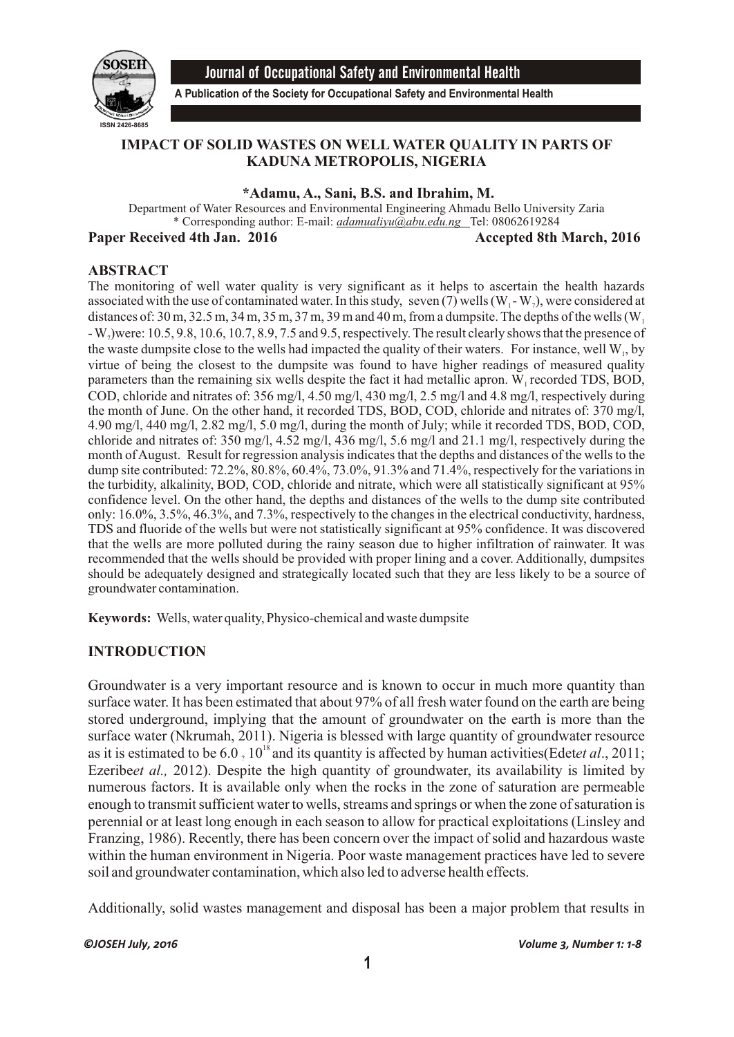

Journal of Occupational Safety and Environmental Health

**A Publication of the Society for Occupational Safety and Environmental Health**

# **IMPACT OF SOLID WASTES ON WELL WATER QUALITY IN PARTS OF KADUNA METROPOLIS, NIGERIA**

**\*Adamu, A., Sani, B.S. and Ibrahim, M.** 

Department of Water Resources and Environmental Engineering Ahmadu Bello University Zaria \* Corresponding author: E-mail: *adamualiyu@abu.edu.ng* Tel: 08062619284

Paper Received 4th Jan. 2016 **Accepted 8th March, 2016** 

#### **ABSTRACT**

The monitoring of well water quality is very significant as it helps to ascertain the health hazards associated with the use of contaminated water. In this study, seven (7) wells  $(W_1-W_7)$ , were considered at distances of: 30 m, 32.5 m, 34 m, 35 m, 37 m, 39 m and 40 m, from a dumpsite. The depths of the wells (W<sub>1</sub>)  $-W_7$ )were: 10.5, 9.8, 10.6, 10.7, 8.9, 7.5 and 9.5, respectively. The result clearly shows that the presence of the waste dumpsite close to the wells had impacted the quality of their waters. For instance, well  $W_i$ , by virtue of being the closest to the dumpsite was found to have higher readings of measured quality parameters than the remaining six wells despite the fact it had metallic apron. W<sub>r</sub> recorded TDS, BOD, COD, chloride and nitrates of: 356 mg/l, 4.50 mg/l, 430 mg/l, 2.5 mg/l and 4.8 mg/l, respectively during the month of June. On the other hand, it recorded TDS, BOD, COD, chloride and nitrates of: 370 mg/l, 4.90 mg/l, 440 mg/l, 2.82 mg/l, 5.0 mg/l, during the month of July; while it recorded TDS, BOD, COD, chloride and nitrates of: 350 mg/l, 4.52 mg/l, 436 mg/l, 5.6 mg/l and 21.1 mg/l, respectively during the month of August. Result for regression analysis indicates that the depths and distances of the wells to the dump site contributed: 72.2%, 80.8%, 60.4%, 73.0%, 91.3% and 71.4%, respectively for the variations in the turbidity, alkalinity, BOD, COD, chloride and nitrate, which were all statistically significant at 95% confidence level. On the other hand, the depths and distances of the wells to the dump site contributed only: 16.0%, 3.5%, 46.3%, and 7.3%, respectively to the changes in the electrical conductivity, hardness, TDS and fluoride of the wells but were not statistically significant at 95% confidence. It was discovered that the wells are more polluted during the rainy season due to higher infiltration of rainwater. It was recommended that the wells should be provided with proper lining and a cover. Additionally, dumpsites should be adequately designed and strategically located such that they are less likely to be a source of groundwater contamination.

**Keywords:** Wells, water quality, Physico-chemical and waste dumpsite

# **INTRODUCTION**

Groundwater is a very important resource and is known to occur in much more quantity than surface water. It has been estimated that about 97% of all fresh water found on the earth are being stored underground, implying that the amount of groundwater on the earth is more than the surface water (Nkrumah, 2011). Nigeria is blessed with large quantity of groundwater resource as it is estimated to be 6.0  $\sqrt{10}$  and its quantity is affected by human activities(Edet*et al.*, 2011; Ezeribe*et al.,* 2012). Despite the high quantity of groundwater, its availability is limited by numerous factors. It is available only when the rocks in the zone of saturation are permeable enough to transmit sufficient water to wells, streams and springs or when the zone of saturation is perennial or at least long enough in each season to allow for practical exploitations (Linsley and Franzing, 1986). Recently, there has been concern over the impact of solid and hazardous waste within the human environment in Nigeria. Poor waste management practices have led to severe soil and groundwater contamination, which also led to adverse health effects.

Additionally, solid wastes management and disposal has been a major problem that results in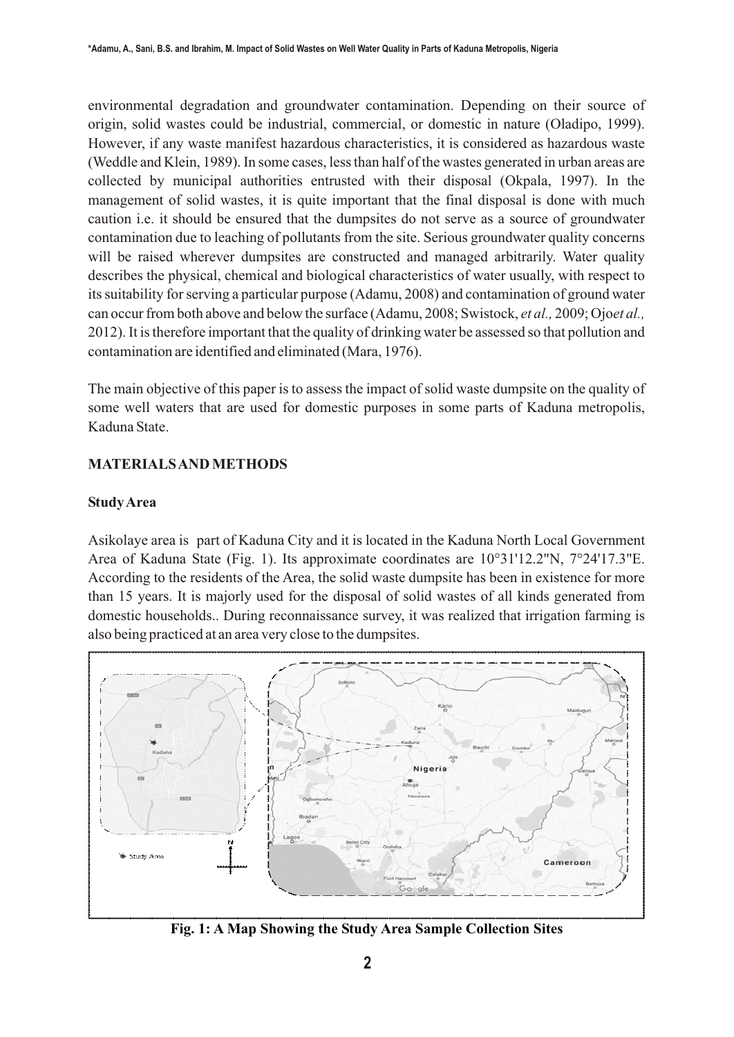environmental degradation and groundwater contamination. Depending on their source of origin, solid wastes could be industrial, commercial, or domestic in nature (Oladipo, 1999). However, if any waste manifest hazardous characteristics, it is considered as hazardous waste (Weddle and Klein, 1989). In some cases, less than half of the wastes generated in urban areas are collected by municipal authorities entrusted with their disposal (Okpala, 1997). In the management of solid wastes, it is quite important that the final disposal is done with much caution i.e. it should be ensured that the dumpsites do not serve as a source of groundwater contamination due to leaching of pollutants from the site. Serious groundwater quality concerns will be raised wherever dumpsites are constructed and managed arbitrarily. Water quality describes the physical, chemical and biological characteristics of water usually, with respect to its suitability for serving a particular purpose (Adamu, 2008) and contamination of ground water can occur from both above and below the surface (Adamu, 2008; Swistock, *et al.,* 2009; Ojo*et al.,* 2012). It is therefore important that the quality of drinking water be assessed so that pollution and contamination are identified and eliminated (Mara, 1976).

The main objective of this paper is to assess the impact of solid waste dumpsite on the quality of some well waters that are used for domestic purposes in some parts of Kaduna metropolis, Kaduna State.

# **MATERIALS AND METHODS**

#### **Study Area**

Asikolaye area is part of Kaduna City and it is located in the Kaduna North Local Government Area of Kaduna State (Fig. 1). Its approximate coordinates are 10°31'12.2"N, 7°24'17.3"E. According to the residents of the Area, the solid waste dumpsite has been in existence for more than 15 years. It is majorly used for the disposal of solid wastes of all kinds generated from domestic households.. During reconnaissance survey, it was realized that irrigation farming is also being practiced at an area very close to the dumpsites.



**Fig. 1: A Map Showing the Study Area Sample Collection Sites**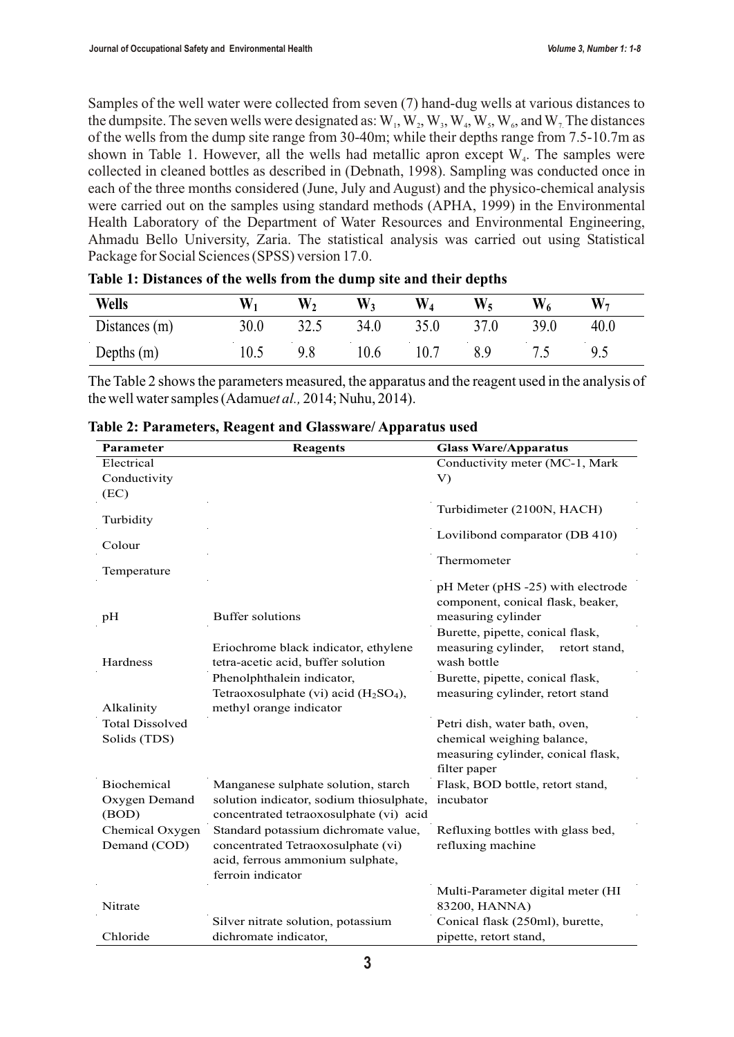Samples of the well water were collected from seven (7) hand-dug wells at various distances to the dumpsite. The seven wells were designated as:  $W_1, W_2, W_3, W_4, W_5, W_6$ , and  $W_7$ . The distances of the wells from the dump site range from 30-40m; while their depths range from 7.5-10.7m as shown in Table 1. However, all the wells had metallic apron except  $W<sub>4</sub>$ . The samples were collected in cleaned bottles as described in (Debnath, 1998). Sampling was conducted once in each of the three months considered (June, July and August) and the physico-chemical analysis were carried out on the samples using standard methods (APHA, 1999) in the Environmental Health Laboratory of the Department of Water Resources and Environmental Engineering, Ahmadu Bello University, Zaria. The statistical analysis was carried out using Statistical Package for Social Sciences (SPSS) version 17.0.

| <b>Wells</b>    |      | W <sub>2</sub> | W,   | $\mathbf{W}_4$ |      | $W_6$   | W7   |
|-----------------|------|----------------|------|----------------|------|---------|------|
| Distances $(m)$ | 30.0 | 22 S<br>ں ۔ ب  | 34.0 | 35.0           | 37.0 | 39.0    | 40.0 |
| Depths $(m)$    | 10.5 | 9.8            | 0.6  | 10.7           |      | $\cdot$ | ر .  |

The Table 2 shows the parameters measured, the apparatus and the reagent used in the analysis of the well water samples (Adamu*et al.,* 2014; Nuhu, 2014).

| Parameter                  | <b>Reagents</b>                                                                 | <b>Glass Ware/Apparatus</b>                            |
|----------------------------|---------------------------------------------------------------------------------|--------------------------------------------------------|
| Electrical<br>Conductivity |                                                                                 | Conductivity meter (MC-1, Mark<br>V)                   |
| (EC)                       |                                                                                 |                                                        |
| Turbidity                  |                                                                                 | Turbidimeter (2100N, HACH)                             |
|                            |                                                                                 | Lovilibond comparator (DB 410)                         |
| Colour                     |                                                                                 | Thermometer                                            |
| Temperature                |                                                                                 |                                                        |
|                            |                                                                                 | pH Meter (pHS -25) with electrode                      |
|                            |                                                                                 | component, conical flask, beaker,                      |
| pH                         | <b>Buffer solutions</b>                                                         | measuring cylinder<br>Burette, pipette, conical flask, |
|                            | Eriochrome black indicator, ethylene                                            | measuring cylinder,<br>retort stand,                   |
| Hardness                   | tetra-acetic acid, buffer solution                                              | wash bottle                                            |
|                            | Phenolphthalein indicator,                                                      | Burette, pipette, conical flask,                       |
| Alkalinity                 | Tetraoxosulphate (vi) acid $(H_2SO_4)$ ,<br>methyl orange indicator             | measuring cylinder, retort stand                       |
| <b>Total Dissolved</b>     |                                                                                 | Petri dish, water bath, oven,                          |
| Solids (TDS)               |                                                                                 | chemical weighing balance,                             |
|                            |                                                                                 | measuring cylinder, conical flask,                     |
|                            |                                                                                 | filter paper                                           |
| Biochemical                | Manganese sulphate solution, starch                                             | Flask, BOD bottle, retort stand,                       |
| Oxygen Demand              | solution indicator, sodium thiosulphate,                                        | incubator                                              |
| (BOD)<br>Chemical Oxygen   | concentrated tetraoxosulphate (vi) acid<br>Standard potassium dichromate value, | Refluxing bottles with glass bed,                      |
| Demand (COD)               | concentrated Tetraoxosulphate (vi)                                              | refluxing machine                                      |
|                            | acid, ferrous ammonium sulphate,                                                |                                                        |
|                            | ferroin indicator                                                               |                                                        |
|                            |                                                                                 | Multi-Parameter digital meter (HI                      |
| Nitrate                    |                                                                                 | 83200, HANNA)                                          |
|                            | Silver nitrate solution, potassium                                              | Conical flask (250ml), burette,                        |
| Chloride                   | dichromate indicator,                                                           | pipette, retort stand,                                 |

**Table 2: Parameters, Reagent and Glassware/ Apparatus used**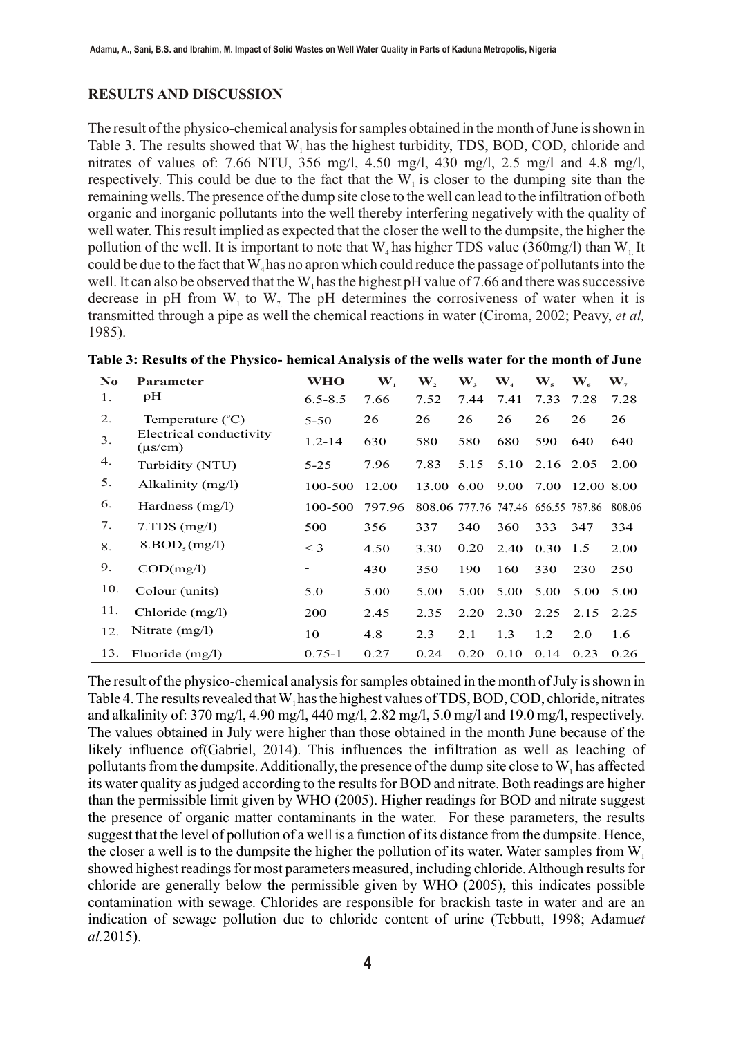## **RESULTS AND DISCUSSION**

The result of the physico-chemical analysis for samples obtained in the month of June is shown in Table 3. The results showed that  $W_1$  has the highest turbidity, TDS, BOD, COD, chloride and nitrates of values of: 7.66 NTU, 356 mg/l, 4.50 mg/l, 430 mg/l, 2.5 mg/l and 4.8 mg/l, respectively. This could be due to the fact that the  $W<sub>1</sub>$  is closer to the dumping site than the remaining wells. The presence of the dump site close to the well can lead to the infiltration of both organic and inorganic pollutants into the well thereby interfering negatively with the quality of well water. This result implied as expected that the closer the well to the dumpsite, the higher the pollution of the well. It is important to note that  $W_4$  has higher TDS value (360mg/l) than  $W_1$  It could be due to the fact that  $W<sub>4</sub>$  has no apron which could reduce the passage of pollutants into the well. It can also be observed that the W<sub>1</sub> has the highest pH value of 7.66 and there was successive decrease in pH from  $W_1$  to  $W_2$ . The pH determines the corrosiveness of water when it is transmitted through a pipe as well the chemical reactions in water (Ciroma, 2002; Peavy, *et al,* 1985).

| No  | <b>Parameter</b>                        | <b>WHO</b>               | $\mathbf{W}_{1}$ | W,                                 | $\mathbf{W}_{\text{s}}$ | $\mathbf{W}_4$ | $\mathbf{W}_{\mathbf{s}}$ | $\mathbf{W}_{\epsilon}$ | $\mathbf{W}_{7}$ |
|-----|-----------------------------------------|--------------------------|------------------|------------------------------------|-------------------------|----------------|---------------------------|-------------------------|------------------|
| 1.  | pH                                      | $6.5 - 8.5$              | 7.66             | 7.52                               | 7.44                    | 7.41           | 7.33                      | 7.28                    | 7.28             |
| 2.  | Temperature $(^{\circ}C)$               | $5 - 50$                 | 26               | 26                                 | 26                      | 26             | 26                        | 26                      | 26               |
| 3.  | Electrical conductivity<br>$(\mu s/cm)$ | $1.2 - 14$               | 630              | 580                                | 580                     | 680            | 590                       | 640                     | 640              |
| 4.  | Turbidity (NTU)                         | $5 - 25$                 | 7.96             | 7.83                               | 5.15                    | 5.10           | 2.16                      | 2.05                    | 2.00             |
| 5.  | Alkalinity (mg/l)                       | 100-500                  | 12.00            | 13.00 6.00                         |                         | 9.00           | 7.00                      | 12.00 8.00              |                  |
| 6.  | Hardness (mg/l)                         | 100-500                  | 797.96           | 808.06 777.76 747.46 656.55 787.86 |                         |                |                           |                         | 808.06           |
| 7.  | 7. TDS (mg/l)                           | 500                      | 356              | 337                                | 340                     | 360            | 333                       | 347                     | 334              |
| 8.  | 8.BOD <sub>5</sub> (mg/l)               | $\leq$ 3                 | 4.50             | 3.30                               | 0.20                    | 2.40           | 0.30                      | 1.5                     | 2.00             |
| 9.  | $\text{COD}(\text{mg/l})$               | $\overline{\phantom{a}}$ | 430              | 350                                | 190                     | 160            | 330                       | 230                     | 250              |
| 10. | Colour (units)                          | 5.0                      | 5.00             | 5.00                               | 5.00                    | 5.00           | 5.00                      | 5.00                    | 5.00             |
| 11. | Chloride (mg/l)                         | 200                      | 2.45             | 2.35                               | 2.20                    | 2.30           | 2.25                      | 2.15                    | 2.25             |
| 12. | Nitrate $(mg/l)$                        | 10                       | 4.8              | 2.3                                | 2.1                     | 1.3            | 1.2                       | 2.0                     | 1.6              |
| 13. | Fluoride (mg/l)                         | $0.75 - 1$               | 0.27             | 0.24                               | 0.20                    | 0.10           | 0.14                      | 0.23                    | 0.26             |

**Table 3: Results of the Physico- hemical Analysis of the wells water for the month of June** 

The result of the physico-chemical analysis for samples obtained in the month of July is shown in Table 4. The results revealed that W has the highest values of TDS, BOD, COD, chloride, nitrates and alkalinity of: 370 mg/l, 4.90 mg/l, 440 mg/l, 2.82 mg/l, 5.0 mg/l and 19.0 mg/l, respectively. The values obtained in July were higher than those obtained in the month June because of the likely influence of(Gabriel, 2014). This influences the infiltration as well as leaching of pollutants from the dumpsite. Additionally, the presence of the dump site close to  $W_1$  has affected its water quality as judged according to the results for BOD and nitrate. Both readings are higher than the permissible limit given by WHO (2005). Higher readings for BOD and nitrate suggest the presence of organic matter contaminants in the water. For these parameters, the results suggest that the level of pollution of a well is a function of its distance from the dumpsite. Hence, the closer a well is to the dumpsite the higher the pollution of its water. Water samples from  $W_1$ showed highest readings for most parameters measured, including chloride. Although results for chloride are generally below the permissible given by WHO (2005), this indicates possible contamination with sewage. Chlorides are responsible for brackish taste in water and are an indication of sewage pollution due to chloride content of urine (Tebbutt, 1998; Adamu*et al.*2015).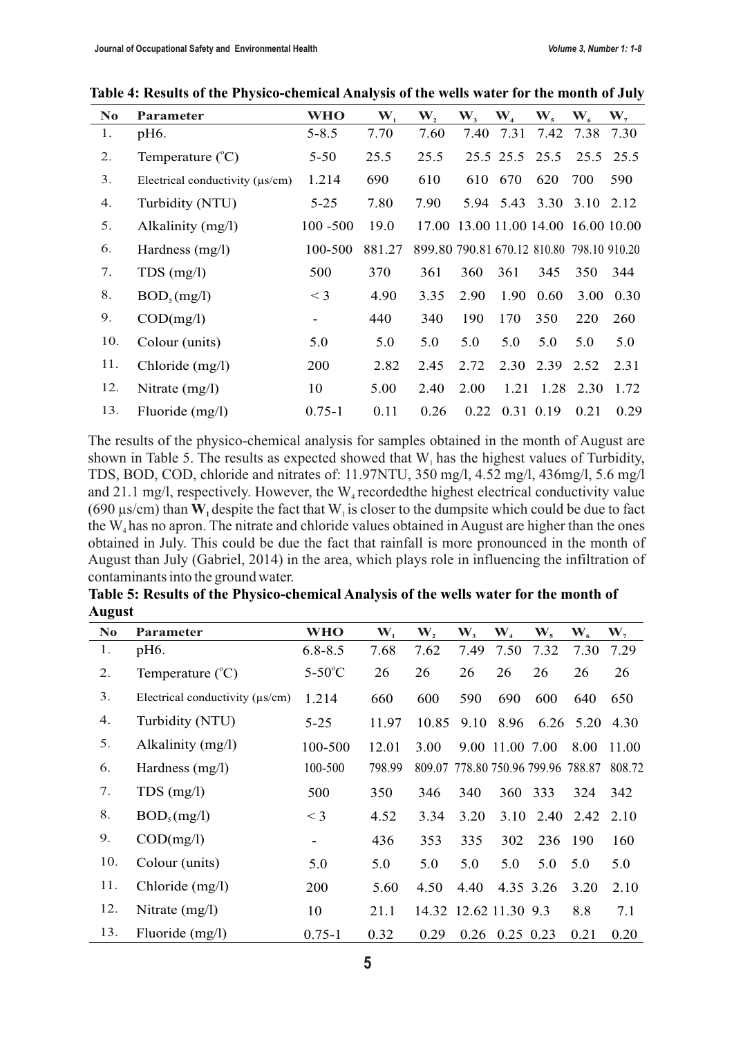| N <sub>0</sub> | <b>Parameter</b>                     | <b>WHO</b>  | $\mathbf{W}_{1}$ | W,                                        | $\mathbf{W}_{\mathbf{3}}$ | $\mathbf{W}_4$ | $\mathbf{W}_{\mathbf{s}}$ | $\mathbf{W}_{\epsilon}$ | $\mathbf{W}_{\tau}$                 |
|----------------|--------------------------------------|-------------|------------------|-------------------------------------------|---------------------------|----------------|---------------------------|-------------------------|-------------------------------------|
| 1.             | pH6.                                 | $5 - 8.5$   | 7.70             | 7.60                                      | 7.40                      | 7.31           | 7.42                      | 7.38                    | 7.30                                |
| 2.             | Temperature $(^{\circ}C)$            | $5 - 50$    | 25.5             | 25.5                                      |                           | 25.5 25.5 25.5 |                           | 25.5                    | 25.5                                |
| 3.             | Electrical conductivity $(\mu s/cm)$ | 1.214       | 690              | 610                                       | 610                       | 670            | 620                       | 700                     | 590                                 |
| 4.             | Turbidity (NTU)                      | $5 - 25$    | 7.80             | 7.90                                      | 5.94                      | 5.43           | 3.30 3.10                 |                         | 2.12                                |
| 5.             | Alkalinity (mg/l)                    | $100 - 500$ | 19.0             |                                           |                           |                |                           |                         | 17.00 13.00 11.00 14.00 16.00 10.00 |
| 6.             | Hardness (mg/l)                      | 100-500     | 881.27           | 899.80 790.81 670.12 810.80 798.10 910.20 |                           |                |                           |                         |                                     |
| 7.             | $TDS$ (mg/l)                         | 500         | 370              | 361                                       | 360                       | 361            | 345                       | 350                     | 344                                 |
| 8.             | BOD <sub>5</sub> (mg/l)              | $\leq$ 3    | 4.90             | 3.35                                      | 2.90                      | 1.90           | 0.60                      | 3.00                    | 0.30                                |
| 9.             | $\text{COD}(\text{mg/l})$            | -           | 440              | 340                                       | 190                       | 170            | 350                       | 220                     | 260                                 |
| 10.            | Colour (units)                       | 5.0         | 5.0              | 5.0                                       | 5.0                       | 5.0            | 5.0                       | 5.0                     | 5.0                                 |
| 11.            | Chloride $(mg/l)$                    | 200         | 2.82             | 2.45                                      | 2.72                      | 2.30           | 2.39                      | 2.52                    | 2.31                                |
| 12.            | Nitrate $(mg/l)$                     | 10          | 5.00             | 2.40                                      | 2.00                      | 1.21           |                           | 1.28 2.30               | 1.72                                |
| 13.            | Fluoride $(mg/l)$                    | $0.75 - 1$  | 0.11             | 0.26                                      | 0.22                      |                | 0.31 0.19                 | 0.21                    | 0.29                                |

**Table 4: Results of the Physico-chemical Analysis of the wells water for the month of July**

The results of the physico-chemical analysis for samples obtained in the month of August are shown in Table 5. The results as expected showed that  $W<sub>1</sub>$  has the highest values of Turbidity, TDS, BOD, COD, chloride and nitrates of: 11.97NTU, 350 mg/l, 4.52 mg/l, 436mg/l, 5.6 mg/l and 21.1 mg/l, respectively. However, the  $W_4$  recorded the highest electrical conductivity value (690  $\mu$ s/cm) than  $W_1$  despite the fact that  $W_1$  is closer to the dumpsite which could be due to fact the  $W<sub>a</sub>$  has no apron. The nitrate and chloride values obtained in August are higher than the ones obtained in July. This could be due the fact that rainfall is more pronounced in the month of August than July (Gabriel, 2014) in the area, which plays role in influencing the infiltration of contaminants into the ground water.

| Table 5: Results of the Physico-chemical Analysis of the wells water for the month of |  |  |
|---------------------------------------------------------------------------------------|--|--|
| <b>August</b>                                                                         |  |  |

| No. | <b>Parameter</b>                     | WHO                      | $\mathbf{W}_{1}$ | $\mathbf{W}_{\mathbf{2}}$ | $\mathbf{W}_{3}$ | $\mathbf{W}_4$              | $\mathbf{W}_5$ | $\mathbf{W}_{6}$ | $\mathbf{W}_{7}$ |
|-----|--------------------------------------|--------------------------|------------------|---------------------------|------------------|-----------------------------|----------------|------------------|------------------|
| 1.  | pH6.                                 | $6.8 - 8.5$              | 7.68             | 7.62                      | 7.49             | 7.50                        | 7.32           | 7.30             | 7.29             |
| 2.  | Temperature $(^{\circ}C)$            | $5-50^{\circ}$ C         | 26               | 26                        | 26               | 26                          | 26             | 26               | 26               |
| 3.  | Electrical conductivity $(\mu s/cm)$ | 1.214                    | 660              | 600                       | 590              | 690                         | 600            | 640              | 650              |
| 4.  | Turbidity (NTU)                      | $5 - 25$                 | 11.97            | 10.85                     | 9.10             | 8.96                        | 6.26           | 5.20             | 4.30             |
| 5.  | Alkalinity (mg/l)                    | 100-500                  | 12.01            | 3.00                      |                  | 9.00 11.00 7.00             |                | 8.00             | 11.00            |
| 6.  | Hardness $(mg/l)$                    | 100-500                  | 798.99           | 809.07                    |                  | 778.80 750.96 799.96 788.87 |                |                  | 808.72           |
| 7.  | $TDS$ (mg/l)                         | 500                      | 350              | 346                       | 340              | 360                         | 333            | 324              | 342              |
| 8.  | BOD <sub>5</sub> (mg/l)              | $<$ 3                    | 4.52             | 3.34                      | 3.20             | 3.10                        | 2.40           | 2.42             | 2.10             |
| 9.  | COD(mg/l)                            | $\overline{\phantom{a}}$ | 436              | 353                       | 335              | 302                         | 236            | 190              | 160              |
| 10. | Colour (units)                       | 5.0                      | 5.0              | 5.0                       | 5.0              | 5.0                         | 5.0            | 5.0              | 5.0              |
| 11. | Chloride $(mg/l)$                    | 200                      | 5.60             | 4.50                      | 4.40             |                             | 4.35 3.26      | 3.20             | 2.10             |
| 12. | Nitrate $(mg/l)$                     | 10                       | 21.1             |                           |                  | 14.32 12.62 11.30 9.3       |                | 8.8              | 7.1              |
| 13. | Fluoride (mg/l)                      | $0.75 - 1$               | 0.32             | 0.29                      | 0.26             | $0.25$ 0.23                 |                | 0.21             | 0.20             |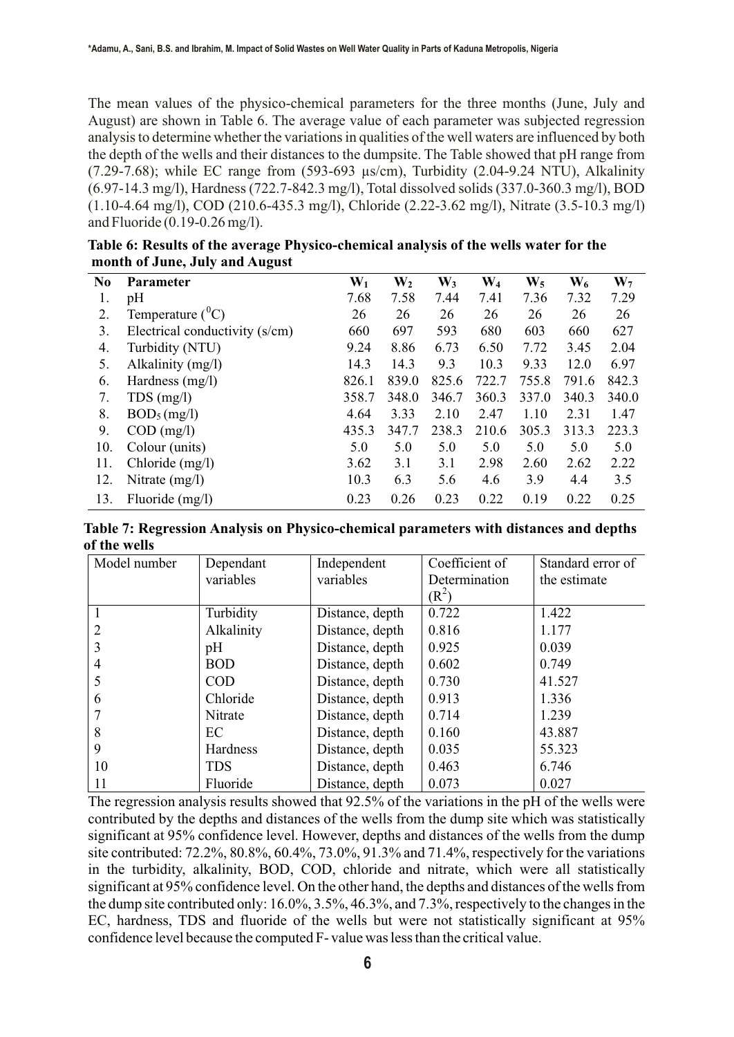The mean values of the physico-chemical parameters for the three months (June, July and August) are shown in Table 6. The average value of each parameter was subjected regression analysis to determine whether the variations in qualities of the well waters are influenced by both the depth of the wells and their distances to the dumpsite. The Table showed that pH range from (7.29-7.68); while EC range from (593-693 µs/cm), Turbidity (2.04-9.24 NTU), Alkalinity (6.97-14.3 mg/l), Hardness (722.7-842.3 mg/l), Total dissolved solids (337.0-360.3 mg/l), BOD (1.10-4.64 mg/l), COD (210.6-435.3 mg/l), Chloride (2.22-3.62 mg/l), Nitrate (3.5-10.3 mg/l) and Fluoride (0.19-0.26 mg/l).

|                | month of June, July and August |                |                  |       |                  |       |           |                           |
|----------------|--------------------------------|----------------|------------------|-------|------------------|-------|-----------|---------------------------|
| N <sub>0</sub> | <b>Parameter</b>               | $\mathbf{W}_1$ | $\mathbf{W_{2}}$ | $W_3$ | $\mathbf{W_{4}}$ | $W_5$ | $\rm W_6$ | $\mathbf{W}_{\mathbf{7}}$ |
|                | pH                             | 7.68           | 7.58             | 7.44  | 7.41             | 7.36  | 7.32      | 7.29                      |
|                | Temperature $(^0C)$            | 26             | 26               | 26    | 26               | 26    | 26        | 26                        |
| 3.             | Electrical conductivity (s/cm) | 660            | 697              | 593   | 680              | 603   | 660       | 627                       |
| 4.             | Turbidity (NTU)                | 9.24           | 8.86             | 6.73  | 6.50             | 7.72  | 3.45      | 2.04                      |
|                | Alkalinity (mg/l)              | 14.3           | 14.3             | 9.3   | 10.3             | 9.33  | 12.0      | 6.97                      |
| 6.             | Hardness (mg/l)                | 826.1          | 839.0            | 825.6 | 722.7            | 755.8 | 791.6     | 842.3                     |
| 7.             | $TDS$ (mg/l)                   | 358.7          | 348.0            | 346.7 | 360.3            | 337.0 | 340.3     | 340.0                     |
| 8.             | $BOD_5$ (mg/l)                 | 4.64           | 3.33             | 2.10  | 2.47             | 1.10  | 2.31      | 1.47                      |
| 9.             | $COD$ (mg/l)                   | 435.3          | 347.7            | 238.3 | 210.6            | 305.3 | 313.3     | 223.3                     |
| 10.            | Colour (units)                 | 5.0            | 5.0              | 5.0   | 5.0              | 5.0   | 5.0       | 5.0                       |

**Table 6: Results of the average Physico-chemical analysis of the wells water for the month of June, July and August**

|              | Table 7: Regression Analysis on Physico-chemical parameters with distances and depths |  |
|--------------|---------------------------------------------------------------------------------------|--|
| of the wells |                                                                                       |  |

Chloride (mg/l) 3.62 3.1 3.1 2.98 2.60 2.62 Nitrate (mg/l) 10.3 6.3 5.6 4.6 3.9 4.4

2.22 3.5 0.25

13. Fluoride (mg/l) 0.23 0.26 0.23 0.22 0.19 0.22

11. 12.

| Model number | Dependant  | Independent     | Coefficient of | Standard error of |
|--------------|------------|-----------------|----------------|-------------------|
|              | variables  | variables       | Determination  | the estimate      |
|              |            |                 | $(R^2)$        |                   |
|              | Turbidity  | Distance, depth | 0.722          | 1.422             |
|              | Alkalinity | Distance, depth | 0.816          | 1.177             |
|              | pH         | Distance, depth | 0.925          | 0.039             |
| 4            | <b>BOD</b> | Distance, depth | 0.602          | 0.749             |
|              | <b>COD</b> | Distance, depth | 0.730          | 41.527            |
| 6            | Chloride   | Distance, depth | 0.913          | 1.336             |
|              | Nitrate    | Distance, depth | 0.714          | 1.239             |
| 8            | EC         | Distance, depth | 0.160          | 43.887            |
| 9            | Hardness   | Distance, depth | 0.035          | 55.323            |
| 10           | <b>TDS</b> | Distance, depth | 0.463          | 6.746             |
| 11           | Fluoride   | Distance, depth | 0.073          | 0.027             |

The regression analysis results showed that 92.5% of the variations in the pH of the wells were contributed by the depths and distances of the wells from the dump site which was statistically significant at 95% confidence level. However, depths and distances of the wells from the dump site contributed: 72.2%, 80.8%, 60.4%, 73.0%, 91.3% and 71.4%, respectively for the variations in the turbidity, alkalinity, BOD, COD, chloride and nitrate, which were all statistically significant at 95% confidence level. On the other hand, the depths and distances of the wells from the dump site contributed only: 16.0%, 3.5%, 46.3%, and 7.3%, respectively to the changes in the EC, hardness, TDS and fluoride of the wells but were not statistically significant at 95% confidence level because the computed F- value was less than the critical value.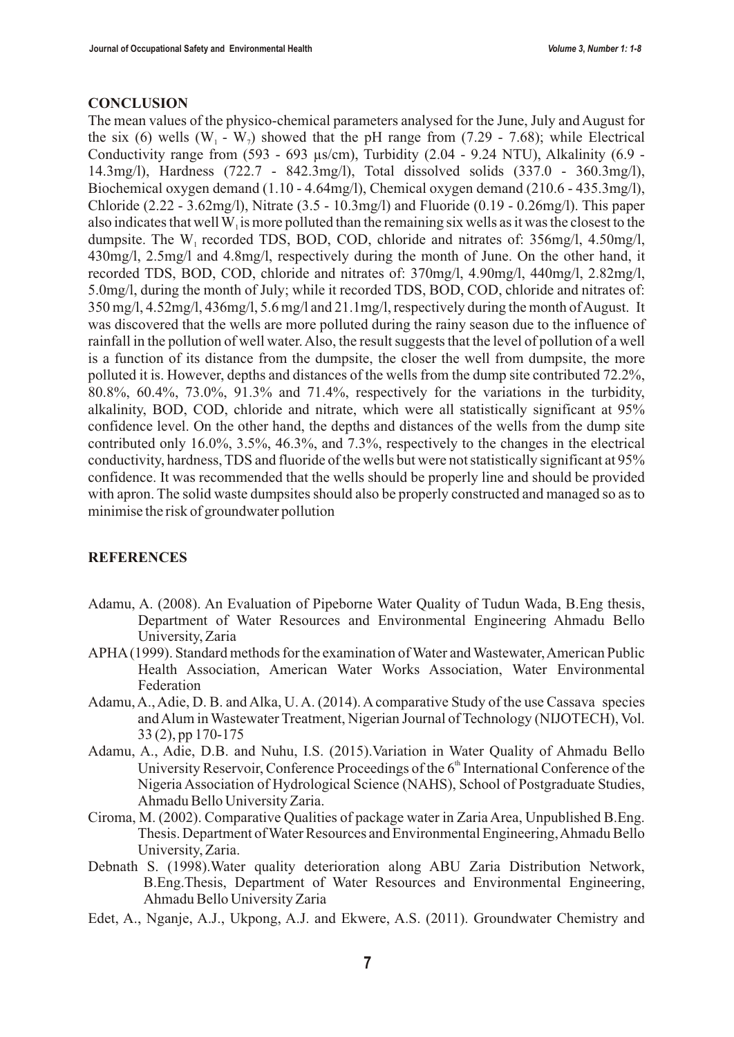#### **CONCLUSION**

The mean values of the physico-chemical parameters analysed for the June, July and August for the six (6) wells (W<sub>1</sub> - W<sub>7</sub>) showed that the pH range from (7.29 - 7.68); while Electrical Conductivity range from (593 - 693 µs/cm), Turbidity (2.04 - 9.24 NTU), Alkalinity (6.9 - 14.3mg/l), Hardness (722.7 - 842.3mg/l), Total dissolved solids (337.0 - 360.3mg/l), Biochemical oxygen demand (1.10 - 4.64mg/l), Chemical oxygen demand (210.6 - 435.3mg/l), Chloride (2.22 - 3.62mg/l), Nitrate (3.5 - 10.3mg/l) and Fluoride (0.19 - 0.26mg/l). This paper also indicates that well W is more polluted than the remaining six wells as it was the closest to the dumpsite. The W<sub>1</sub> recorded TDS, BOD, COD, chloride and nitrates of:  $356$ mg/l,  $4.50$ mg/l, 430mg/l, 2.5mg/l and 4.8mg/l, respectively during the month of June. On the other hand, it recorded TDS, BOD, COD, chloride and nitrates of: 370mg/l, 4.90mg/l, 440mg/l, 2.82mg/l, 5.0mg/l, during the month of July; while it recorded TDS, BOD, COD, chloride and nitrates of: 350 mg/l, 4.52mg/l, 436mg/l, 5.6 mg/l and 21.1mg/l, respectively during the month of August. It was discovered that the wells are more polluted during the rainy season due to the influence of rainfall in the pollution of well water. Also, the result suggests that the level of pollution of a well is a function of its distance from the dumpsite, the closer the well from dumpsite, the more polluted it is. However, depths and distances of the wells from the dump site contributed 72.2%, 80.8%, 60.4%, 73.0%, 91.3% and 71.4%, respectively for the variations in the turbidity, alkalinity, BOD, COD, chloride and nitrate, which were all statistically significant at 95% confidence level. On the other hand, the depths and distances of the wells from the dump site contributed only 16.0%, 3.5%, 46.3%, and 7.3%, respectively to the changes in the electrical conductivity, hardness, TDS and fluoride of the wells but were not statistically significant at 95% confidence. It was recommended that the wells should be properly line and should be provided with apron. The solid waste dumpsites should also be properly constructed and managed so as to minimise the risk of groundwater pollution

#### **REFERENCES**

- Adamu, A. (2008). An Evaluation of Pipeborne Water Quality of Tudun Wada, B.Eng thesis, Department of Water Resources and Environmental Engineering Ahmadu Bello University, Zaria
- APHA (1999). Standard methods for the examination of Water and Wastewater, American Public Health Association, American Water Works Association, Water Environmental Federation
- Adamu, A., Adie, D. B. and Alka, U. A. (2014). A comparative Study of the use Cassava species and Alum in Wastewater Treatment, Nigerian Journal of Technology (NIJOTECH), Vol. 33 (2), pp 170-175
- Adamu, A., Adie, D.B. and Nuhu, I.S. (2015).Variation in Water Quality of Ahmadu Bello University Reservoir, Conference Proceedings of the  $6<sup>th</sup>$  International Conference of the Nigeria Association of Hydrological Science (NAHS), School of Postgraduate Studies, Ahmadu Bello University Zaria.
- Ciroma, M. (2002). Comparative Qualities of package water in Zaria Area, Unpublished B.Eng. Thesis. Department of Water Resources and Environmental Engineering, Ahmadu Bello University, Zaria.
- Debnath S. (1998).Water quality deterioration along ABU Zaria Distribution Network, B.Eng.Thesis, Department of Water Resources and Environmental Engineering, Ahmadu Bello University Zaria
- Edet, A., Nganje, A.J., Ukpong, A.J. and Ekwere, A.S. (2011). Groundwater Chemistry and